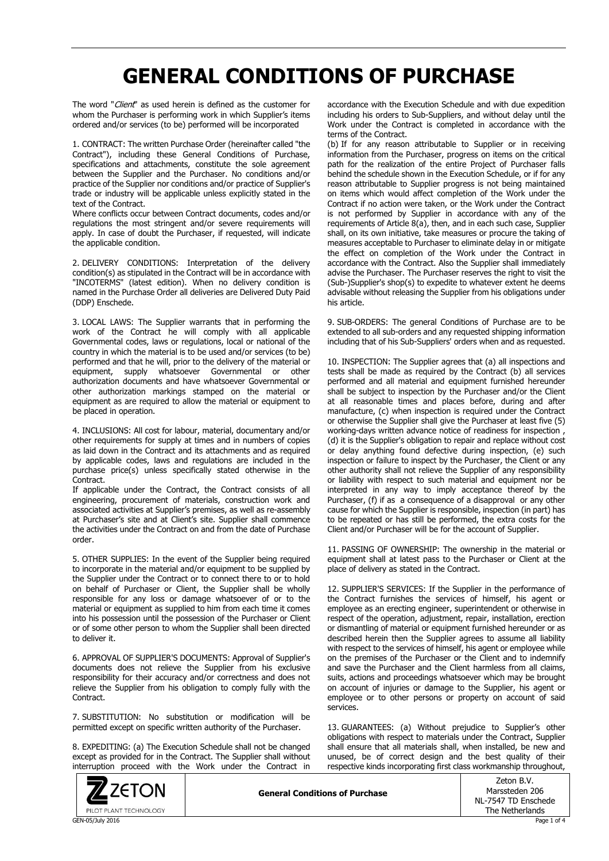## **GENERAL CONDITIONS OF PURCHASE**

The word "Client" as used herein is defined as the customer for whom the Purchaser is performing work in which Supplier's items ordered and/or services (to be) performed will be incorporated

1. CONTRACT: The written Purchase Order (hereinafter called "the Contract"), including these General Conditions of Purchase, specifications and attachments, constitute the sole agreement between the Supplier and the Purchaser. No conditions and/or practice of the Supplier nor conditions and/or practice of Supplier's trade or industry will be applicable unless explicitly stated in the text of the Contract.

Where conflicts occur between Contract documents, codes and/or regulations the most stringent and/or severe requirements will apply. In case of doubt the Purchaser, if requested, will indicate the applicable condition.

2. DELIVERY CONDITIONS: Interpretation of the delivery condition(s) as stipulated in the Contract will be in accordance with "INCOTERMS" (latest edition). When no delivery condition is named in the Purchase Order all deliveries are Delivered Duty Paid (DDP) Enschede.

3. LOCAL LAWS: The Supplier warrants that in performing the work of the Contract he will comply with all applicable Governmental codes, laws or regulations, local or national of the country in which the material is to be used and/or services (to be) performed and that he will, prior to the delivery of the material or equipment, supply whatsoever Governmental or other authorization documents and have whatsoever Governmental or other authorization markings stamped on the material or equipment as are required to allow the material or equipment to be placed in operation.

4. INCLUSIONS: All cost for labour, material, documentary and/or other requirements for supply at times and in numbers of copies as laid down in the Contract and its attachments and as required by applicable codes, laws and regulations are included in the purchase price(s) unless specifically stated otherwise in the **Contract.** 

If applicable under the Contract, the Contract consists of all engineering, procurement of materials, construction work and associated activities at Supplier's premises, as well as re-assembly at Purchaser's site and at Client's site. Supplier shall commence the activities under the Contract on and from the date of Purchase order.

5. OTHER SUPPLIES: In the event of the Supplier being required to incorporate in the material and/or equipment to be supplied by the Supplier under the Contract or to connect there to or to hold on behalf of Purchaser or Client, the Supplier shall be wholly responsible for any loss or damage whatsoever of or to the material or equipment as supplied to him from each time it comes into his possession until the possession of the Purchaser or Client or of some other person to whom the Supplier shall been directed to deliver it.

6. APPROVAL OF SUPPLIER'S DOCUMENTS: Approval of Supplier's documents does not relieve the Supplier from his exclusive responsibility for their accuracy and/or correctness and does not relieve the Supplier from his obligation to comply fully with the Contract.

7. SUBSTITUTION: No substitution or modification will be permitted except on specific written authority of the Purchaser.

8. EXPEDITING: (a) The Execution Schedule shall not be changed except as provided for in the Contract. The Supplier shall without interruption proceed with the Work under the Contract in



accordance with the Execution Schedule and with due expedition including his orders to Sub-Suppliers, and without delay until the Work under the Contract is completed in accordance with the terms of the Contract.

(b) If for any reason attributable to Supplier or in receiving information from the Purchaser, progress on items on the critical path for the realization of the entire Project of Purchaser falls behind the schedule shown in the Execution Schedule, or if for any reason attributable to Supplier progress is not being maintained on items which would affect completion of the Work under the Contract if no action were taken, or the Work under the Contract is not performed by Supplier in accordance with any of the requirements of Article 8(a), then, and in each such case, Supplier shall, on its own initiative, take measures or procure the taking of measures acceptable to Purchaser to eliminate delay in or mitigate the effect on completion of the Work under the Contract in accordance with the Contract. Also the Supplier shall immediately advise the Purchaser. The Purchaser reserves the right to visit the (Sub-)Supplier's shop(s) to expedite to whatever extent he deems advisable without releasing the Supplier from his obligations under his article.

9. SUB-ORDERS: The general Conditions of Purchase are to be extended to all sub-orders and any requested shipping information including that of his Sub-Suppliers' orders when and as requested.

10. INSPECTION: The Supplier agrees that (a) all inspections and tests shall be made as required by the Contract (b) all services performed and all material and equipment furnished hereunder shall be subject to inspection by the Purchaser and/or the Client at all reasonable times and places before, during and after manufacture, (c) when inspection is required under the Contract or otherwise the Supplier shall give the Purchaser at least five (5) working-days written advance notice of readiness for inspection , (d) it is the Supplier's obligation to repair and replace without cost or delay anything found defective during inspection, (e) such inspection or failure to inspect by the Purchaser, the Client or any other authority shall not relieve the Supplier of any responsibility or liability with respect to such material and equipment nor be interpreted in any way to imply acceptance thereof by the Purchaser, (f) if as a consequence of a disapproval or any other cause for which the Supplier is responsible, inspection (in part) has to be repeated or has still be performed, the extra costs for the Client and/or Purchaser will be for the account of Supplier.

11. PASSING OF OWNERSHIP: The ownership in the material or equipment shall at latest pass to the Purchaser or Client at the place of delivery as stated in the Contract.

12. SUPPLIER'S SERVICES: If the Supplier in the performance of the Contract furnishes the services of himself, his agent or employee as an erecting engineer, superintendent or otherwise in respect of the operation, adjustment, repair, installation, erection or dismantling of material or equipment furnished hereunder or as described herein then the Supplier agrees to assume all liability with respect to the services of himself, his agent or employee while on the premises of the Purchaser or the Client and to indemnify and save the Purchaser and the Client harmless from all claims, suits, actions and proceedings whatsoever which may be brought on account of injuries or damage to the Supplier, his agent or employee or to other persons or property on account of said services.

13. GUARANTEES: (a) Without prejudice to Supplier's other obligations with respect to materials under the Contract, Supplier shall ensure that all materials shall, when installed, be new and unused, be of correct design and the best quality of their respective kinds incorporating first class workmanship throughout,

**General Conditions of Purchase**

| Zeton B.V.          |
|---------------------|
| Marssteden 206      |
| NL-7547 TD Enschede |
| The Netherlands     |
|                     |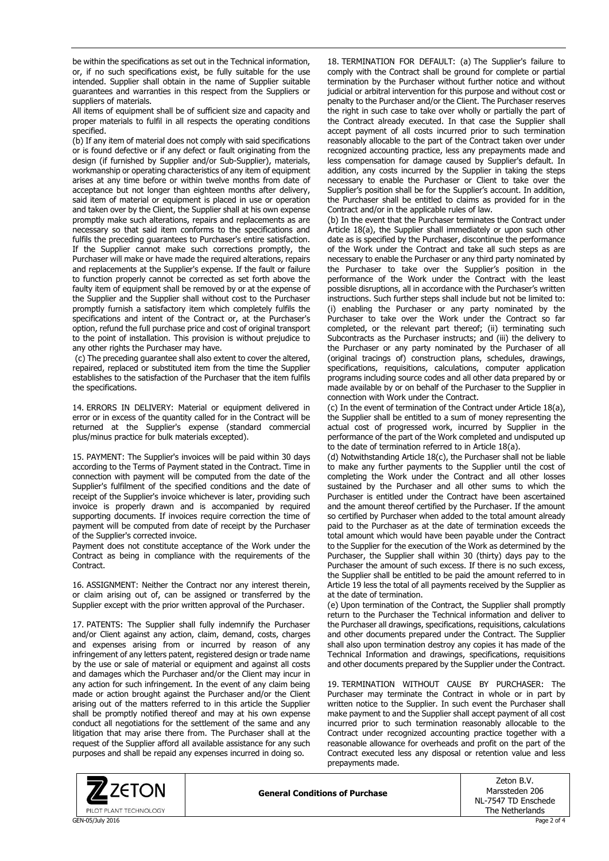be within the specifications as set out in the Technical information, or, if no such specifications exist, be fully suitable for the use intended. Supplier shall obtain in the name of Supplier suitable guarantees and warranties in this respect from the Suppliers or suppliers of materials.

All items of equipment shall be of sufficient size and capacity and proper materials to fulfil in all respects the operating conditions specified.

(b) If any item of material does not comply with said specifications or is found defective or if any defect or fault originating from the design (if furnished by Supplier and/or Sub-Supplier), materials, workmanship or operating characteristics of any item of equipment arises at any time before or within twelve months from date of acceptance but not longer than eighteen months after delivery, said item of material or equipment is placed in use or operation and taken over by the Client, the Supplier shall at his own expense promptly make such alterations, repairs and replacements as are necessary so that said item conforms to the specifications and fulfils the preceding guarantees to Purchaser's entire satisfaction. If the Supplier cannot make such corrections promptly, the Purchaser will make or have made the required alterations, repairs and replacements at the Supplier's expense. If the fault or failure to function properly cannot be corrected as set forth above the faulty item of equipment shall be removed by or at the expense of the Supplier and the Supplier shall without cost to the Purchaser promptly furnish a satisfactory item which completely fulfils the specifications and intent of the Contract or, at the Purchaser's option, refund the full purchase price and cost of original transport to the point of installation. This provision is without prejudice to any other rights the Purchaser may have.

(c) The preceding guarantee shall also extent to cover the altered, repaired, replaced or substituted item from the time the Supplier establishes to the satisfaction of the Purchaser that the item fulfils the specifications.

14. ERRORS IN DELIVERY: Material or equipment delivered in error or in excess of the quantity called for in the Contract will be returned at the Supplier's expense (standard commercial plus/minus practice for bulk materials excepted).

15. PAYMENT: The Supplier's invoices will be paid within 30 days according to the Terms of Payment stated in the Contract. Time in connection with payment will be computed from the date of the Supplier's fulfilment of the specified conditions and the date of receipt of the Supplier's invoice whichever is later, providing such invoice is properly drawn and is accompanied by required supporting documents. If invoices require correction the time of payment will be computed from date of receipt by the Purchaser of the Supplier's corrected invoice.

Payment does not constitute acceptance of the Work under the Contract as being in compliance with the requirements of the Contract.

16. ASSIGNMENT: Neither the Contract nor any interest therein, or claim arising out of, can be assigned or transferred by the Supplier except with the prior written approval of the Purchaser.

17. PATENTS: The Supplier shall fully indemnify the Purchaser and/or Client against any action, claim, demand, costs, charges and expenses arising from or incurred by reason of any infringement of any letters patent, registered design or trade name by the use or sale of material or equipment and against all costs and damages which the Purchaser and/or the Client may incur in any action for such infringement. In the event of any claim being made or action brought against the Purchaser and/or the Client arising out of the matters referred to in this article the Supplier shall be promptly notified thereof and may at his own expense conduct all negotiations for the settlement of the same and any litigation that may arise there from. The Purchaser shall at the request of the Supplier afford all available assistance for any such purposes and shall be repaid any expenses incurred in doing so.

18. TERMINATION FOR DEFAULT: (a) The Supplier's failure to comply with the Contract shall be ground for complete or partial termination by the Purchaser without further notice and without judicial or arbitral intervention for this purpose and without cost or penalty to the Purchaser and/or the Client. The Purchaser reserves the right in such case to take over wholly or partially the part of the Contract already executed. In that case the Supplier shall accept payment of all costs incurred prior to such termination reasonably allocable to the part of the Contract taken over under recognized accounting practice, less any prepayments made and less compensation for damage caused by Supplier's default. In addition, any costs incurred by the Supplier in taking the steps necessary to enable the Purchaser or Client to take over the Supplier's position shall be for the Supplier's account. In addition, the Purchaser shall be entitled to claims as provided for in the Contract and/or in the applicable rules of law.

(b) In the event that the Purchaser terminates the Contract under Article 18(a), the Supplier shall immediately or upon such other date as is specified by the Purchaser, discontinue the performance of the Work under the Contract and take all such steps as are necessary to enable the Purchaser or any third party nominated by the Purchaser to take over the Supplier's position in the performance of the Work under the Contract with the least possible disruptions, all in accordance with the Purchaser's written instructions. Such further steps shall include but not be limited to: (i) enabling the Purchaser or any party nominated by the Purchaser to take over the Work under the Contract so far completed, or the relevant part thereof; (ii) terminating such Subcontracts as the Purchaser instructs; and (iii) the delivery to the Purchaser or any party nominated by the Purchaser of all (original tracings of) construction plans, schedules, drawings, specifications, requisitions, calculations, computer application programs including source codes and all other data prepared by or made available by or on behalf of the Purchaser to the Supplier in connection with Work under the Contract.

(c) In the event of termination of the Contract under Article 18(a), the Supplier shall be entitled to a sum of money representing the actual cost of progressed work, incurred by Supplier in the performance of the part of the Work completed and undisputed up to the date of termination referred to in Article 18(a).

(d) Notwithstanding Article 18(c), the Purchaser shall not be liable to make any further payments to the Supplier until the cost of completing the Work under the Contract and all other losses sustained by the Purchaser and all other sums to which the Purchaser is entitled under the Contract have been ascertained and the amount thereof certified by the Purchaser. If the amount so certified by Purchaser when added to the total amount already paid to the Purchaser as at the date of termination exceeds the total amount which would have been payable under the Contract to the Supplier for the execution of the Work as determined by the Purchaser, the Supplier shall within 30 (thirty) days pay to the Purchaser the amount of such excess. If there is no such excess, the Supplier shall be entitled to be paid the amount referred to in Article 19 less the total of all payments received by the Supplier as at the date of termination.

(e) Upon termination of the Contract, the Supplier shall promptly return to the Purchaser the Technical information and deliver to the Purchaser all drawings, specifications, requisitions, calculations and other documents prepared under the Contract. The Supplier shall also upon termination destroy any copies it has made of the Technical Information and drawings, specifications, requisitions and other documents prepared by the Supplier under the Contract.

19. TERMINATION WITHOUT CAUSE BY PURCHASER: The Purchaser may terminate the Contract in whole or in part by written notice to the Supplier. In such event the Purchaser shall make payment to and the Supplier shall accept payment of all cost incurred prior to such termination reasonably allocable to the Contract under recognized accounting practice together with a reasonable allowance for overheads and profit on the part of the Contract executed less any disposal or retention value and less prepayments made.



**General Conditions of Purchase**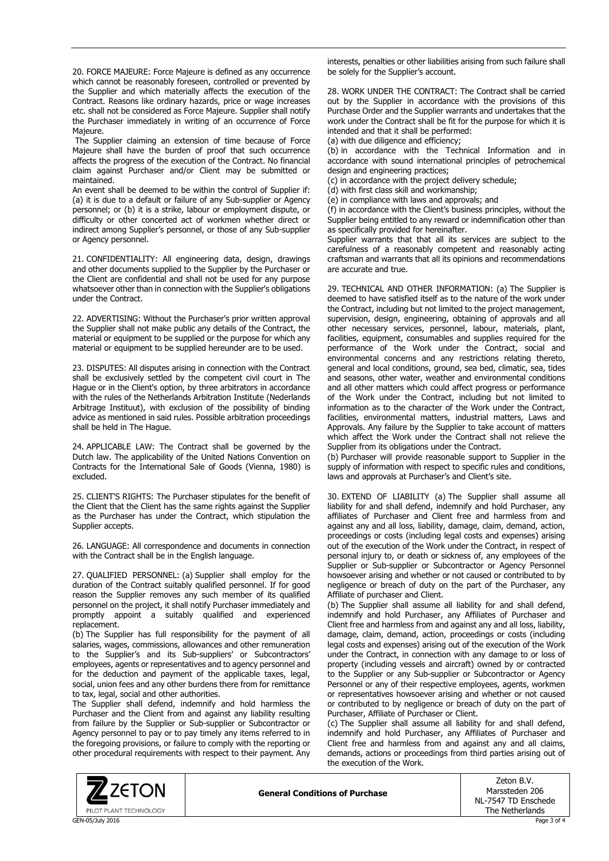20. FORCE MAJEURE: Force Majeure is defined as any occurrence which cannot be reasonably foreseen, controlled or prevented by the Supplier and which materially affects the execution of the Contract. Reasons like ordinary hazards, price or wage increases etc. shall not be considered as Force Majeure. Supplier shall notify the Purchaser immediately in writing of an occurrence of Force Majeure.

The Supplier claiming an extension of time because of Force Majeure shall have the burden of proof that such occurrence affects the progress of the execution of the Contract. No financial claim against Purchaser and/or Client may be submitted or maintained.

An event shall be deemed to be within the control of Supplier if: (a) it is due to a default or failure of any Sub-supplier or Agency personnel; or (b) it is a strike, labour or employment dispute, or difficulty or other concerted act of workmen whether direct or indirect among Supplier's personnel, or those of any Sub-supplier or Agency personnel.

21. CONFIDENTIALITY: All engineering data, design, drawings and other documents supplied to the Supplier by the Purchaser or the Client are confidential and shall not be used for any purpose whatsoever other than in connection with the Supplier's obligations under the Contract.

22. ADVERTISING: Without the Purchaser's prior written approval the Supplier shall not make public any details of the Contract, the material or equipment to be supplied or the purpose for which any material or equipment to be supplied hereunder are to be used.

23. DISPUTES: All disputes arising in connection with the Contract shall be exclusively settled by the competent civil court in The Hague or in the Client's option, by three arbitrators in accordance with the rules of the Netherlands Arbitration Institute (Nederlands Arbitrage Instituut), with exclusion of the possibility of binding advice as mentioned in said rules. Possible arbitration proceedings shall be held in The Hague.

24. APPLICABLE LAW: The Contract shall be governed by the Dutch law. The applicability of the United Nations Convention on Contracts for the International Sale of Goods (Vienna, 1980) is excluded.

25. CLIENT'S RIGHTS: The Purchaser stipulates for the benefit of the Client that the Client has the same rights against the Supplier as the Purchaser has under the Contract, which stipulation the Supplier accepts.

26. LANGUAGE: All correspondence and documents in connection with the Contract shall be in the English language.

27. QUALIFIED PERSONNEL: (a) Supplier shall employ for the duration of the Contract suitably qualified personnel. If for good reason the Supplier removes any such member of its qualified personnel on the project, it shall notify Purchaser immediately and promptly appoint a suitably qualified and experienced replacement.

(b) The Supplier has full responsibility for the payment of all salaries, wages, commissions, allowances and other remuneration to the Supplier's and its Sub-suppliers' or Subcontractors' employees, agents or representatives and to agency personnel and for the deduction and payment of the applicable taxes, legal, social, union fees and any other burdens there from for remittance to tax, legal, social and other authorities.

The Supplier shall defend, indemnify and hold harmless the Purchaser and the Client from and against any liability resulting from failure by the Supplier or Sub-supplier or Subcontractor or Agency personnel to pay or to pay timely any items referred to in the foregoing provisions, or failure to comply with the reporting or other procedural requirements with respect to their payment. Any

interests, penalties or other liabilities arising from such failure shall be solely for the Supplier's account.

28. WORK UNDER THE CONTRACT: The Contract shall be carried out by the Supplier in accordance with the provisions of this Purchase Order and the Supplier warrants and undertakes that the work under the Contract shall be fit for the purpose for which it is intended and that it shall be performed:

(a) with due diligence and efficiency;

(b) in accordance with the Technical Information and in accordance with sound international principles of petrochemical design and engineering practices;

(c) in accordance with the project delivery schedule;

(d) with first class skill and workmanship;

(e) in compliance with laws and approvals; and

(f) in accordance with the Client's business principles, without the Supplier being entitled to any reward or indemnification other than as specifically provided for hereinafter.

Supplier warrants that that all its services are subject to the carefulness of a reasonably competent and reasonably acting craftsman and warrants that all its opinions and recommendations are accurate and true.

29. TECHNICAL AND OTHER INFORMATION: (a) The Supplier is deemed to have satisfied itself as to the nature of the work under the Contract, including but not limited to the project management, supervision, design, engineering, obtaining of approvals and all other necessary services, personnel, labour, materials, plant, facilities, equipment, consumables and supplies required for the performance of the Work under the Contract, social and environmental concerns and any restrictions relating thereto, general and local conditions, ground, sea bed, climatic, sea, tides and seasons, other water, weather and environmental conditions and all other matters which could affect progress or performance of the Work under the Contract, including but not limited to information as to the character of the Work under the Contract, facilities, environmental matters, industrial matters, Laws and Approvals. Any failure by the Supplier to take account of matters which affect the Work under the Contract shall not relieve the Supplier from its obligations under the Contract.

(b) Purchaser will provide reasonable support to Supplier in the supply of information with respect to specific rules and conditions, laws and approvals at Purchaser's and Client's site.

30. EXTEND OF LIABILITY (a) The Supplier shall assume all liability for and shall defend, indemnify and hold Purchaser, any affiliates of Purchaser and Client free and harmless from and against any and all loss, liability, damage, claim, demand, action, proceedings or costs (including legal costs and expenses) arising out of the execution of the Work under the Contract, in respect of personal injury to, or death or sickness of, any employees of the Supplier or Sub-supplier or Subcontractor or Agency Personnel howsoever arising and whether or not caused or contributed to by negligence or breach of duty on the part of the Purchaser, any Affiliate of purchaser and Client.

(b) The Supplier shall assume all liability for and shall defend, indemnify and hold Purchaser, any Affiliates of Purchaser and Client free and harmless from and against any and all loss, liability, damage, claim, demand, action, proceedings or costs (including legal costs and expenses) arising out of the execution of the Work under the Contract, in connection with any damage to or loss of property (including vessels and aircraft) owned by or contracted to the Supplier or any Sub-supplier or Subcontractor or Agency Personnel or any of their respective employees, agents, workmen or representatives howsoever arising and whether or not caused or contributed to by negligence or breach of duty on the part of Purchaser, Affiliate of Purchaser or Client.

(c) The Supplier shall assume all liability for and shall defend, indemnify and hold Purchaser, any Affiliates of Purchaser and Client free and harmless from and against any and all claims, demands, actions or proceedings from third parties arising out of the execution of the Work.



**General Conditions of Purchase**